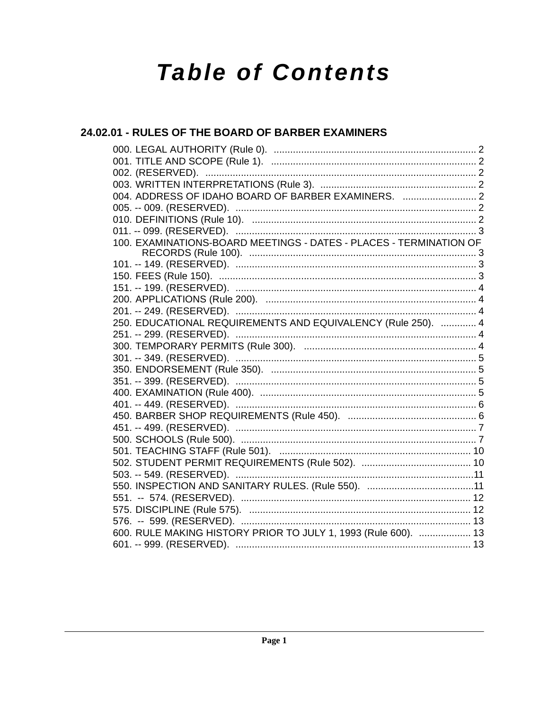# **Table of Contents**

# 24.02.01 - RULES OF THE BOARD OF BARBER EXAMINERS

| 004. ADDRESS OF IDAHO BOARD OF BARBER EXAMINERS.  2                |
|--------------------------------------------------------------------|
|                                                                    |
|                                                                    |
|                                                                    |
| 100. EXAMINATIONS-BOARD MEETINGS - DATES - PLACES - TERMINATION OF |
|                                                                    |
|                                                                    |
|                                                                    |
|                                                                    |
|                                                                    |
| 250. EDUCATIONAL REQUIREMENTS AND EQUIVALENCY (Rule 250).  4       |
|                                                                    |
|                                                                    |
|                                                                    |
|                                                                    |
|                                                                    |
|                                                                    |
|                                                                    |
|                                                                    |
|                                                                    |
|                                                                    |
|                                                                    |
|                                                                    |
|                                                                    |
|                                                                    |
|                                                                    |
|                                                                    |
|                                                                    |
| 600. RULE MAKING HISTORY PRIOR TO JULY 1, 1993 (Rule 600).  13     |
|                                                                    |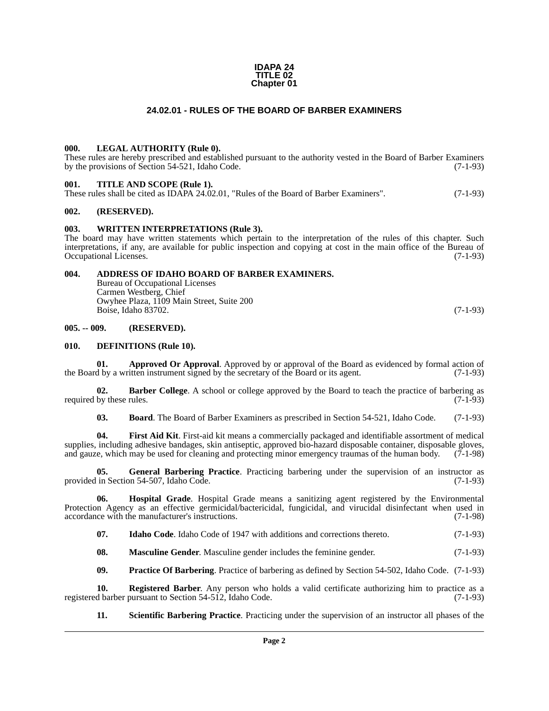#### **IDAPA 24 TITLE 02 Chapter 01**

#### **24.02.01 - RULES OF THE BOARD OF BARBER EXAMINERS**

#### <span id="page-1-1"></span><span id="page-1-0"></span>**000. LEGAL AUTHORITY (Rule 0).**

These rules are hereby prescribed and established pursuant to the authority vested in the Board of Barber Examiners<br>by the provisions of Section 54-521, Idaho Code. (7-1-93) by the provisions of Section 54-521, Idaho Code.

#### <span id="page-1-2"></span>**001. TITLE AND SCOPE (Rule 1).**

| These rules shall be cited as IDAPA 24.02.01, "Rules of the Board of Barber Examiners". | $(7-1-93)$ |
|-----------------------------------------------------------------------------------------|------------|
|-----------------------------------------------------------------------------------------|------------|

#### <span id="page-1-3"></span>**002. (RESERVED).**

#### <span id="page-1-4"></span>**003. WRITTEN INTERPRETATIONS (Rule 3).**

The board may have written statements which pertain to the interpretation of the rules of this chapter. Such interpretations, if any, are available for public inspection and copying at cost in the main office of the Bureau of Occupational Licenses.

#### <span id="page-1-5"></span>**004. ADDRESS OF IDAHO BOARD OF BARBER EXAMINERS.**

Bureau of Occupational Licenses Carmen Westberg, Chief Owyhee Plaza, 1109 Main Street, Suite 200 Boise, Idaho 83702. (7-1-93)

#### <span id="page-1-6"></span>**005. -- 009. (RESERVED).**

#### <span id="page-1-7"></span>**010. DEFINITIONS (Rule 10).**

**01. Approved Or Approval**. Approved by or approval of the Board as evidenced by formal action of d by a written instrument signed by the secretary of the Board or its agent. (7-1-93) the Board by a written instrument signed by the secretary of the Board or its agent.

**02. Barber College**. A school or college approved by the Board to teach the practice of barbering as by these rules. (7-1-93) required by these rules.

**03. Board**. The Board of Barber Examiners as prescribed in Section 54-521, Idaho Code. (7-1-93)

**04. First Aid Kit**. First-aid kit means a commercially packaged and identifiable assortment of medical supplies, including adhesive bandages, skin antiseptic, approved bio-hazard disposable container, disposable gloves, and gauze, which may be used for cleaning and protecting minor emergency traumas of the human body. (7-1and gauze, which may be used for cleaning and protecting minor emergency traumas of the human body.

**05. General Barbering Practice**. Practicing barbering under the supervision of an instructor as in Section 54-507. Idaho Code. (7-1-93) provided in Section 54-507, Idaho Code.

**06. Hospital Grade**. Hospital Grade means a sanitizing agent registered by the Environmental Protection Agency as an effective germicidal/bactericidal, fungicidal, and virucidal disinfectant when used in accordance with the manufacturer's instructions. (7-1-98) accordance with the manufacturer's instructions.

**07.** Idaho Code. Idaho Code of 1947 with additions and corrections thereto. (7-1-93)

**08.** Masculine Gender. Masculine gender includes the feminine gender. (7-1-93)

**09. Practice Of Barbering**. Practice of barbering as defined by Section 54-502, Idaho Code. (7-1-93)

**10. Registered Barber**. Any person who holds a valid certificate authorizing him to practice as a d barber pursuant to Section 54-512, Idaho Code. (7-1-93) registered barber pursuant to Section 54-512, Idaho Code.

**11. Scientific Barbering Practice**. Practicing under the supervision of an instructor all phases of the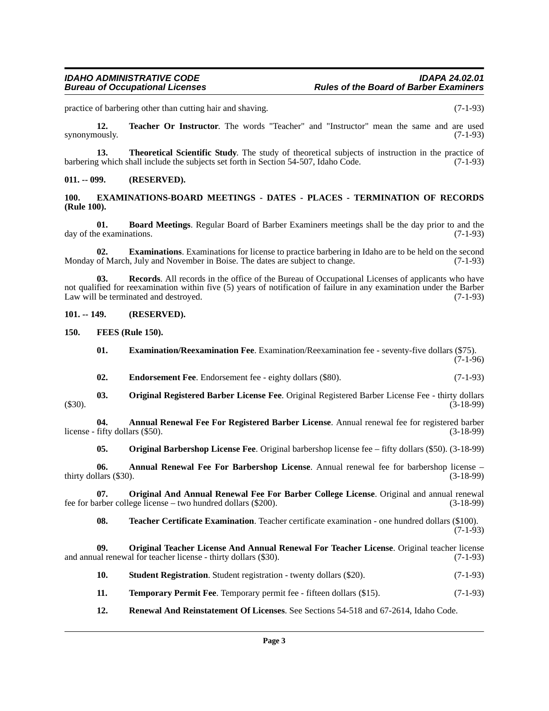practice of barbering other than cutting hair and shaving. (7-1-93)

**12. Teacher Or Instructor**. The words "Teacher" and "Instructor" mean the same and are used synonymously. (7-1-93)

**13. Theoretical Scientific Study**. The study of theoretical subjects of instruction in the practice of g which shall include the subjects set forth in Section 54-507, Idaho Code. (7-1-93) barbering which shall include the subjects set forth in Section 54-507, Idaho Code.

#### <span id="page-2-0"></span>**011. -- 099. (RESERVED).**

#### <span id="page-2-1"></span>**100. EXAMINATIONS-BOARD MEETINGS - DATES - PLACES - TERMINATION OF RECORDS (Rule 100).**

**01. Board Meetings**. Regular Board of Barber Examiners meetings shall be the day prior to and the day of the examinations. (7-1-93)

**02. Examinations**. Examinations for license to practice barbering in Idaho are to be held on the second of March, July and November in Boise. The dates are subject to change. (7-1-93) Monday of March, July and November in Boise. The dates are subject to change.

**03. Records**. All records in the office of the Bureau of Occupational Licenses of applicants who have not qualified for reexamination within five (5) years of notification of failure in any examination under the Barber Law will be terminated and destroyed. (7-1-93)

<span id="page-2-2"></span>**101. -- 149. (RESERVED).**

<span id="page-2-3"></span>**150. FEES (Rule 150).**

- **01. Examination/Reexamination Fee**. Examination/Reexamination fee seventy-five dollars (\$75).  $(7-1-96)$
- **02.** Endorsement Fee. Endorsement fee eighty dollars (\$80). (7-1-93)
- **03. Original Registered Barber License Fee**. Original Registered Barber License Fee thirty dollars (\$30). (3-18-99)

**04. Annual Renewal Fee For Registered Barber License**. Annual renewal fee for registered barber  $lichices - fifty dollars ($50).$  (3-18-99)

**05. Original Barbershop License Fee**. Original barbershop license fee – fifty dollars (\$50). (3-18-99)

**06. Annual Renewal Fee For Barbershop License**. Annual renewal fee for barbershop license – thirty dollars  $(\$30)$ .

**07. Original And Annual Renewal Fee For Barber College License**. Original and annual renewal arber college license – two hundred dollars (\$200). (3-18-99) fee for barber college license – two hundred dollars  $(\$200)$ .

**08. Teacher Certificate Examination**. Teacher certificate examination - one hundred dollars (\$100). (7-1-93)

**09.** Original Teacher License And Annual Renewal For Teacher License. Original teacher license al renewal for teacher license - thirty dollars (\$30). (7-1-93) and annual renewal for teacher license - thirty dollars (\$30).

- **10. Student Registration**. Student registration twenty dollars (\$20). (7-1-93)
- **11. Temporary Permit Fee**. Temporary permit fee fifteen dollars (\$15). (7-1-93)
- **12. Renewal And Reinstatement Of Licenses**. See Sections 54-518 and 67-2614, Idaho Code.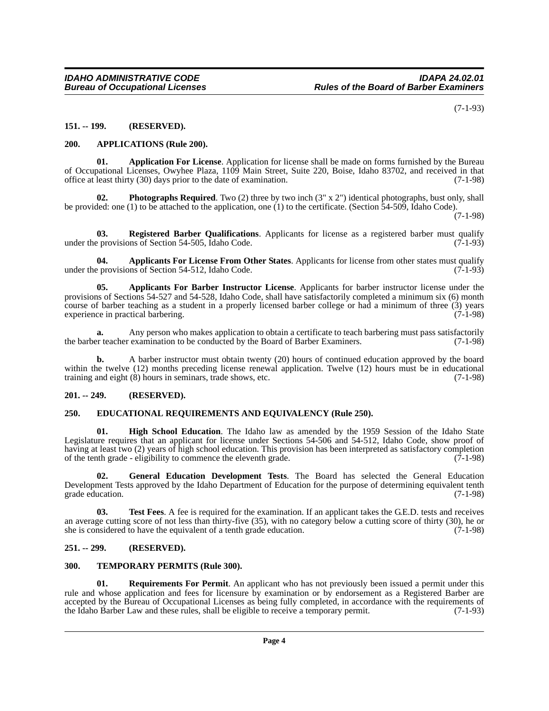(7-1-93)

#### <span id="page-3-0"></span>**151. -- 199. (RESERVED).**

#### <span id="page-3-1"></span>**200. APPLICATIONS (Rule 200).**

**01. Application For License**. Application for license shall be made on forms furnished by the Bureau of Occupational Licenses, Owyhee Plaza, 1109 Main Street, Suite 220, Boise, Idaho 83702, and received in that office at least thirty (30) days prior to the date of examination. (7-1-98)

**02. Photographs Required**. Two (2) three by two inch (3" x 2") identical photographs, bust only, shall be provided: one (1) to be attached to the application, one (1) to the certificate. (Section 54-509, Idaho Code).

(7-1-98)

**03. Registered Barber Qualifications**. Applicants for license as a registered barber must qualify provisions of Section 54-505, Idaho Code. (7-1-93) under the provisions of Section 54-505, Idaho Code.

**04. Applicants For License From Other States**. Applicants for license from other states must qualify under the provisions of Section 54-512, Idaho Code. (7-1-93)

**05. Applicants For Barber Instructor License**. Applicants for barber instructor license under the provisions of Sections 54-527 and 54-528, Idaho Code, shall have satisfactorily completed a minimum six (6) month course of barber teaching as a student in a properly licensed barber college or had a minimum of three (3) years experience in practical barbering. (7-1-98) experience in practical barbering.

**a.** Any person who makes application to obtain a certificate to teach barbering must pass satisfactorily refrequences that the Board of Barber Examiners. (7-1-98) the barber teacher examination to be conducted by the Board of Barber Examiners.

**b.** A barber instructor must obtain twenty (20) hours of continued education approved by the board within the twelve (12) months preceding license renewal application. Twelve (12) hours must be in educational training and eight (8) hours in seminars, trade shows, etc.  $(7-1-98)$ training and eight  $(8)$  hours in seminars, trade shows, etc.

#### <span id="page-3-2"></span>**201. -- 249. (RESERVED).**

#### <span id="page-3-3"></span>**250. EDUCATIONAL REQUIREMENTS AND EQUIVALENCY (Rule 250).**

**High School Education**. The Idaho law as amended by the 1959 Session of the Idaho State Legislature requires that an applicant for license under Sections 54-506 and 54-512, Idaho Code, show proof of having at least two (2) years of high school education. This provision has been interpreted as satisfactory completion<br>of the tenth grade - eligibility to commence the eleventh grade. (7-1-98) of the tenth grade - eligibility to commence the eleventh grade.

**02. General Education Development Tests**. The Board has selected the General Education Development Tests approved by the Idaho Department of Education for the purpose of determining equivalent tenth grade education.

**03.** Test Fees. A fee is required for the examination. If an applicant takes the G.E.D. tests and receives an average cutting score of not less than thirty-five (35), with no category below a cutting score of thirty (30), he or she is considered to have the equivalent of a tenth grade education. (7-1-98)

#### <span id="page-3-4"></span>**251. -- 299. (RESERVED).**

#### <span id="page-3-5"></span>**300. TEMPORARY PERMITS (Rule 300).**

**01. Requirements For Permit**. An applicant who has not previously been issued a permit under this rule and whose application and fees for licensure by examination or by endorsement as a Registered Barber are accepted by the Bureau of Occupational Licenses as being fully completed, in accordance with the requirements of the Idaho Barber Law and these rules, shall be eligible to receive a temporary permit. (7-1-93) the Idaho Barber Law and these rules, shall be eligible to receive a temporary permit.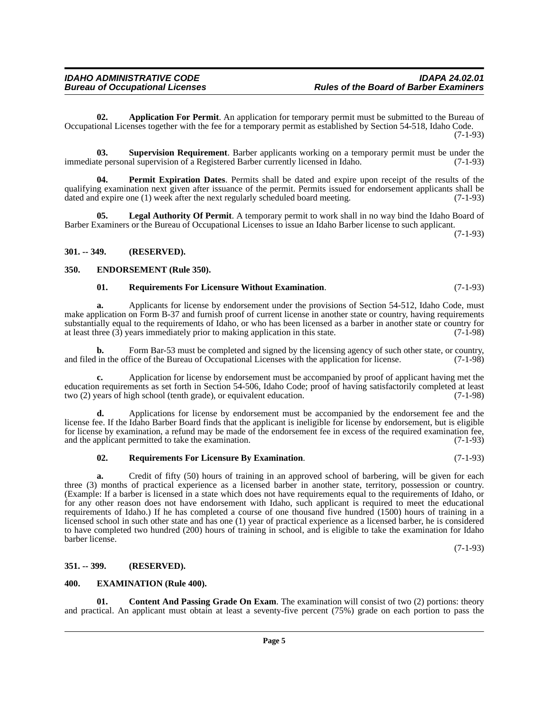**02. Application For Permit**. An application for temporary permit must be submitted to the Bureau of Occupational Licenses together with the fee for a temporary permit as established by Section 54-518, Idaho Code. (7-1-93)

**03. Supervision Requirement**. Barber applicants working on a temporary permit must be under the teners onal supervision of a Registered Barber currently licensed in Idaho. (7-1-93) immediate personal supervision of a Registered Barber currently licensed in Idaho.

**04. Permit Expiration Dates**. Permits shall be dated and expire upon receipt of the results of the qualifying examination next given after issuance of the permit. Permits issued for endorsement applicants shall be dated and expire one (1) week after the next regularly scheduled board meeting. (7-1-93)

**05. Legal Authority Of Permit**. A temporary permit to work shall in no way bind the Idaho Board of Barber Examiners or the Bureau of Occupational Licenses to issue an Idaho Barber license to such applicant.

(7-1-93)

#### <span id="page-4-0"></span>**301. -- 349. (RESERVED).**

#### <span id="page-4-1"></span>**350. ENDORSEMENT (Rule 350).**

#### **01. Requirements For Licensure Without Examination**. (7-1-93)

**a.** Applicants for license by endorsement under the provisions of Section 54-512, Idaho Code, must make application on Form B-37 and furnish proof of current license in another state or country, having requirements substantially equal to the requirements of Idaho, or who has been licensed as a barber in another state or country for at least three (3) years immediately prior to making application in this state. (7-1-98) at least three  $(3)$  years immediately prior to making application in this state.

**b.** Form Bar-53 must be completed and signed by the licensing agency of such other state, or country, in the office of the Bureau of Occupational Licenses with the application for license. (7-1-98) and filed in the office of the Bureau of Occupational Licenses with the application for license.

**c.** Application for license by endorsement must be accompanied by proof of applicant having met the education requirements as set forth in Section 54-506, Idaho Code; proof of having satisfactorily completed at least two (2) years of high school (tenth grade), or equivalent education. (7-1-98) two (2) years of high school (tenth grade), or equivalent education.

**d.** Applications for license by endorsement must be accompanied by the endorsement fee and the license fee. If the Idaho Barber Board finds that the applicant is ineligible for license by endorsement, but is eligible for license by examination, a refund may be made of the endorsement fee in excess of the required examination fee, and the applicant permitted to take the examination. (7-1-93) and the applicant permitted to take the examination.

#### **02. Requirements For Licensure By Examination**. (7-1-93)

**a.** Credit of fifty (50) hours of training in an approved school of barbering, will be given for each three (3) months of practical experience as a licensed barber in another state, territory, possession or country. (Example: If a barber is licensed in a state which does not have requirements equal to the requirements of Idaho, or for any other reason does not have endorsement with Idaho, such applicant is required to meet the educational requirements of Idaho.) If he has completed a course of one thousand five hundred (1500) hours of training in a licensed school in such other state and has one (1) year of practical experience as a licensed barber, he is considered to have completed two hundred (200) hours of training in school, and is eligible to take the examination for Idaho barber license.

(7-1-93)

#### <span id="page-4-2"></span>**351. -- 399. (RESERVED).**

#### <span id="page-4-3"></span>**400. EXAMINATION (Rule 400).**

**Content And Passing Grade On Exam.** The examination will consist of two (2) portions: theory and practical. An applicant must obtain at least a seventy-five percent (75%) grade on each portion to pass the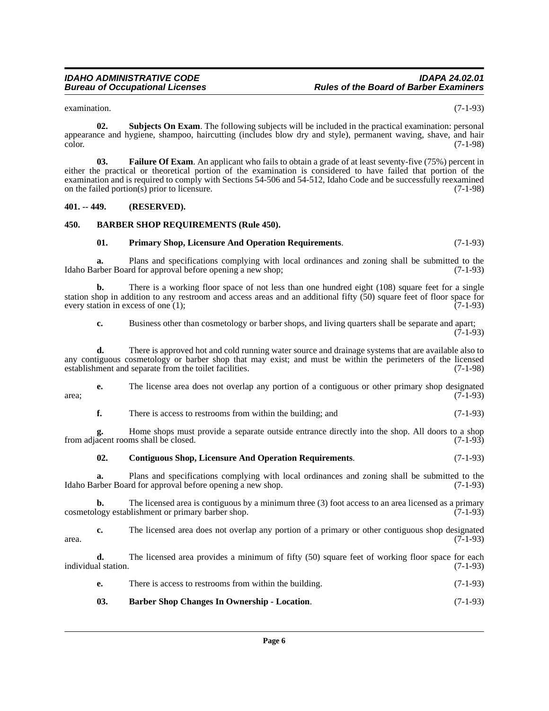examination. (7-1-93)

**02. Subjects On Exam**. The following subjects will be included in the practical examination: personal appearance and hygiene, shampoo, haircutting (includes blow dry and style), permanent waving, shave, and hair  $\mu$  (7-1-98)  $(7-1-98)$ 

**03. Failure Of Exam**. An applicant who fails to obtain a grade of at least seventy-five (75%) percent in either the practical or theoretical portion of the examination is considered to have failed that portion of the examination and is required to comply with Sections 54-506 and 54-512, Idaho Code and be successfully reexamined on the failed portion(s) prior to licensure. (7-1-98)

#### <span id="page-5-0"></span>**401. -- 449. (RESERVED).**

#### <span id="page-5-1"></span>**450. BARBER SHOP REQUIREMENTS (Rule 450).**

#### **01. Primary Shop, Licensure And Operation Requirements**. (7-1-93)

**a.** Plans and specifications complying with local ordinances and zoning shall be submitted to the Idaho Barber Board for approval before opening a new shop; (7-1-93)

**b.** There is a working floor space of not less than one hundred eight (108) square feet for a single station shop in addition to any restroom and access areas and an additional fifty  $(50)$  square feet of floor space for every station in excess of one (1); every station in excess of one  $(1)$ ;

**c.** Business other than cosmetology or barber shops, and living quarters shall be separate and apart;  $(7-1-93)$ 

**d.** There is approved hot and cold running water source and drainage systems that are available also to any contiguous cosmetology or barber shop that may exist; and must be within the perimeters of the licensed establishment and separate from the toilet facilities. (7-1-98)

**e.** The license area does not overlap any portion of a contiguous or other primary shop designated (7-1-93)  $area;$  (7-1-93)

**f.** There is access to restrooms from within the building; and  $(7-1-93)$ 

**g.** Home shops must provide a separate outside entrance directly into the shop. All doors to a shop acent rooms shall be closed. (7-1-93) from adjacent rooms shall be closed.

#### **02. Contiguous Shop, Licensure And Operation Requirements**. (7-1-93)

**a.** Plans and specifications complying with local ordinances and zoning shall be submitted to the Idaho Barber Board for approval before opening a new shop. (7-1-93)

**b.** The licensed area is contiguous by a minimum three (3) foot access to an area licensed as a primary logy establishment or primary barber shop. (7-1-93) cosmetology establishment or primary barber shop.

**c.** The licensed area does not overlap any portion of a primary or other contiguous shop designated  $\alpha$  area.  $(7-1-93)$ 

**d.** The licensed area provides a minimum of fifty (50) square feet of working floor space for each individual station. (7-1-93)

- **e.** There is access to restrooms from within the building. (7-1-93)
- **03. Barber Shop Changes In Ownership Location**. (7-1-93)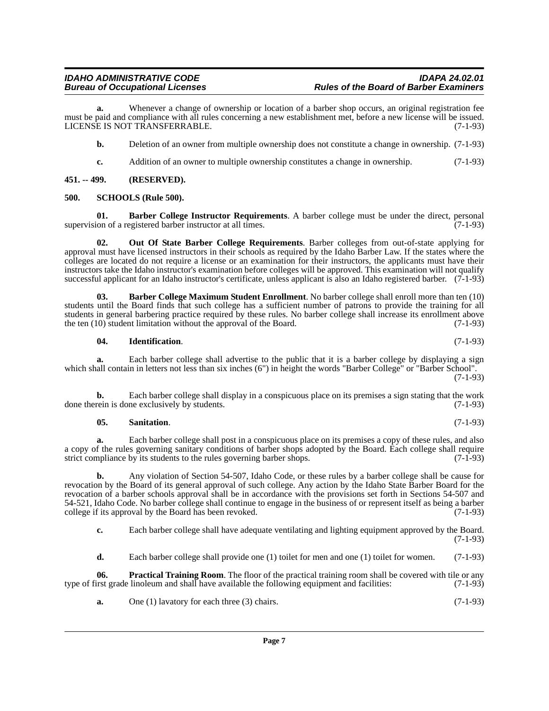**a.** Whenever a change of ownership or location of a barber shop occurs, an original registration fee must be paid and compliance with all rules concerning a new establishment met, before a new license will be issued. LICENSE IS NOT TRANSFERRABLE. (7-1-93)

**b.** Deletion of an owner from multiple ownership does not constitute a change in ownership.  $(7-1-93)$ 

**c.** Addition of an owner to multiple ownership constitutes a change in ownership. (7-1-93)

<span id="page-6-0"></span>**451. -- 499. (RESERVED).**

#### <span id="page-6-1"></span>**500. SCHOOLS (Rule 500).**

**01. Barber College Instructor Requirements**. A barber college must be under the direct, personal ion of a registered barber instructor at all times. supervision of a registered barber instructor at all times.

**02. Out Of State Barber College Requirements**. Barber colleges from out-of-state applying for approval must have licensed instructors in their schools as required by the Idaho Barber Law. If the states where the colleges are located do not require a license or an examination for their instructors, the applicants must have their instructors take the Idaho instructor's examination before colleges will be approved. This examination will not qualify successful applicant for an Idaho instructor's certificate, unless applicant is also an Idaho registered barber. (7-1-93)

**03. Barber College Maximum Student Enrollment**. No barber college shall enroll more than ten (10) students until the Board finds that such college has a sufficient number of patrons to provide the training for all students in general barbering practice required by these rules. No barber college shall increase its enrollment above the ten (10) student limitation without the approval of the Board. (7-1-93)

#### **04. Identification**. (7-1-93)

**a.** Each barber college shall advertise to the public that it is a barber college by displaying a sign which shall contain in letters not less than six inches (6") in height the words "Barber College" or "Barber School". (7-1-93)

**b.** Each barber college shall display in a conspicuous place on its premises a sign stating that the work done therein is done exclusively by students. (7-1-93)

#### **05. Sanitation**. (7-1-93)

**a.** Each barber college shall post in a conspicuous place on its premises a copy of these rules, and also a copy of the rules governing sanitary conditions of barber shops adopted by the Board. Each college shall require strict compliance by its students to the rules governing barber shops. (7-1-93) strict compliance by its students to the rules governing barber shops.

**b.** Any violation of Section 54-507, Idaho Code, or these rules by a barber college shall be cause for revocation by the Board of its general approval of such college. Any action by the Idaho State Barber Board for the revocation of a barber schools approval shall be in accordance with the provisions set forth in Sections 54-507 and 54-521, Idaho Code. No barber college shall continue to engage in the business of or represent itself as being a barber college if its approval by the Board has been revoked. college if its approval by the Board has been revoked.

**c.** Each barber college shall have adequate ventilating and lighting equipment approved by the Board. (7-1-93)

**d.** Each barber college shall provide one (1) toilet for men and one (1) toilet for women. (7-1-93)

**06. Practical Training Room**. The floor of the practical training room shall be covered with tile or any type of first grade linoleum and shall have available the following equipment and facilities: (7-1-93)

**a.** One (1) lavatory for each three (3) chairs. (7-1-93)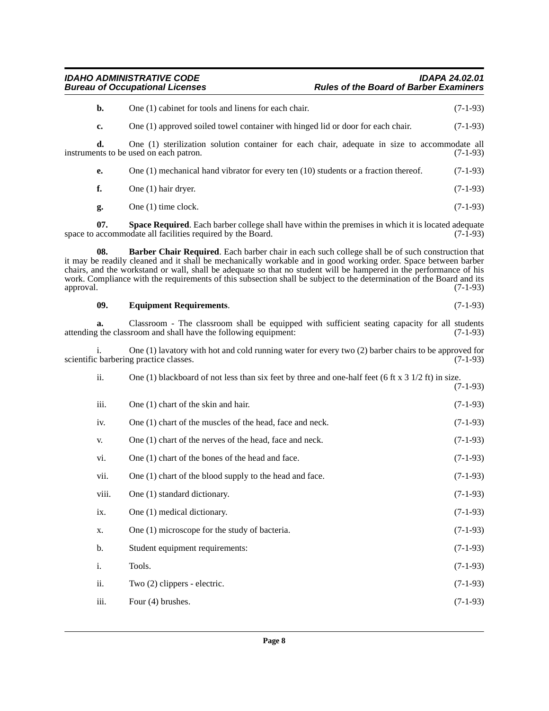## *IDAHO ADMINISTRATIVE CODE IDAPA 24.02.01 Bureau of Occupational Licenses Rules of the Board of Barber Examiners*

|           | b.             | One (1) cabinet for tools and linens for each chair.                                                                                                                                                                                                                                                                                                                                                                                                              | $(7-1-93)$ |
|-----------|----------------|-------------------------------------------------------------------------------------------------------------------------------------------------------------------------------------------------------------------------------------------------------------------------------------------------------------------------------------------------------------------------------------------------------------------------------------------------------------------|------------|
|           | c.             | One (1) approved soiled towel container with hinged lid or door for each chair.                                                                                                                                                                                                                                                                                                                                                                                   | $(7-1-93)$ |
|           | d.             | One (1) sterilization solution container for each chair, adequate in size to accommodate all<br>instruments to be used on each patron.                                                                                                                                                                                                                                                                                                                            | $(7-1-93)$ |
|           | е.             | One $(1)$ mechanical hand vibrator for every ten $(10)$ students or a fraction thereof.                                                                                                                                                                                                                                                                                                                                                                           | $(7-1-93)$ |
|           | f.             | One (1) hair dryer.                                                                                                                                                                                                                                                                                                                                                                                                                                               | $(7-1-93)$ |
|           | g.             | One (1) time clock.                                                                                                                                                                                                                                                                                                                                                                                                                                               | $(7-1-93)$ |
|           | 07.            | <b>Space Required.</b> Each barber college shall have within the premises in which it is located adequate<br>space to accommodate all facilities required by the Board.                                                                                                                                                                                                                                                                                           | $(7-1-93)$ |
| approval. | 08.            | Barber Chair Required. Each barber chair in each such college shall be of such construction that<br>it may be readily cleaned and it shall be mechanically workable and in good working order. Space between barber<br>chairs, and the workstand or wall, shall be adequate so that no student will be hampered in the performance of his<br>work. Compliance with the requirements of this subsection shall be subject to the determination of the Board and its | $(7-1-93)$ |
|           | 09.            | <b>Equipment Requirements.</b>                                                                                                                                                                                                                                                                                                                                                                                                                                    | $(7-1-93)$ |
|           | a.             | Classroom - The classroom shall be equipped with sufficient seating capacity for all students<br>attending the classroom and shall have the following equipment:                                                                                                                                                                                                                                                                                                  | $(7-1-93)$ |
|           |                | One $(1)$ lavatory with hot and cold running water for every two $(2)$ barber chairs to be approved for<br>scientific barbering practice classes.                                                                                                                                                                                                                                                                                                                 | $(7-1-93)$ |
|           | ii.            | One (1) blackboard of not less than six feet by three and one-half feet (6 ft x $3\frac{1}{2}$ ft) in size.                                                                                                                                                                                                                                                                                                                                                       | $(7-1-93)$ |
|           | iii.           | One (1) chart of the skin and hair.                                                                                                                                                                                                                                                                                                                                                                                                                               | $(7-1-93)$ |
|           | iv.            | One (1) chart of the muscles of the head, face and neck.                                                                                                                                                                                                                                                                                                                                                                                                          | $(7-1-93)$ |
|           | V.             | One (1) chart of the nerves of the head, face and neck.                                                                                                                                                                                                                                                                                                                                                                                                           | $(7-1-93)$ |
|           | vi.            | One (1) chart of the bones of the head and face.                                                                                                                                                                                                                                                                                                                                                                                                                  | $(7-1-93)$ |
|           | vii.           | One (1) chart of the blood supply to the head and face.                                                                                                                                                                                                                                                                                                                                                                                                           | $(7-1-93)$ |
|           | viii.          | One (1) standard dictionary.                                                                                                                                                                                                                                                                                                                                                                                                                                      | $(7-1-93)$ |
|           | ix.            | One (1) medical dictionary.                                                                                                                                                                                                                                                                                                                                                                                                                                       | $(7-1-93)$ |
|           | Х.             | One (1) microscope for the study of bacteria.                                                                                                                                                                                                                                                                                                                                                                                                                     | $(7-1-93)$ |
|           | b.             | Student equipment requirements:                                                                                                                                                                                                                                                                                                                                                                                                                                   | $(7-1-93)$ |
|           | $\mathbf{i}$ . | Tools.                                                                                                                                                                                                                                                                                                                                                                                                                                                            | $(7-1-93)$ |
|           | ii.            | Two (2) clippers - electric.                                                                                                                                                                                                                                                                                                                                                                                                                                      | $(7-1-93)$ |
|           | iii.           | Four (4) brushes.                                                                                                                                                                                                                                                                                                                                                                                                                                                 | $(7-1-93)$ |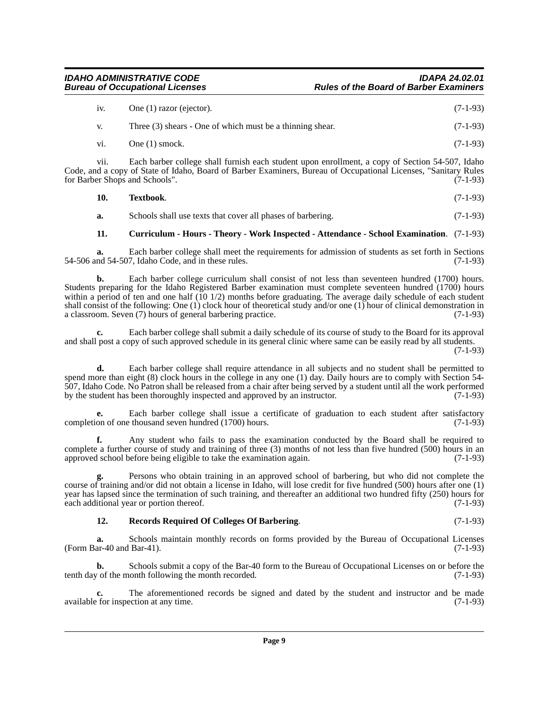| <b>IDAHO ADMINISTRATIVE CODE</b>       | <b>IDAPA 24.02.01</b>                         |
|----------------------------------------|-----------------------------------------------|
| <b>Bureau of Occupational Licenses</b> | <b>Rules of the Board of Barber Examiners</b> |

| iv. | One (1) razor (ejector).                                  | $(7-1-93)$ |  |
|-----|-----------------------------------------------------------|------------|--|
|     | Three (3) shears - One of which must be a thinning shear. | $(7-1-93)$ |  |
| vi. | One $(1)$ smock.                                          | $(7-1-93)$ |  |

vii. Each barber college shall furnish each student upon enrollment, a copy of Section 54-507, Idaho Code, and a copy of State of Idaho, Board of Barber Examiners, Bureau of Occupational Licenses, "Sanitary Rules for Barber Shops and Schools". (7-1-93)

| $(7-1-93)$ |
|------------|
|            |

**a.** Schools shall use texts that cover all phases of barbering. (7-1-93)

#### **11. Curriculum - Hours - Theory - Work Inspected - Attendance - School Examination**. (7-1-93)

**a.** Each barber college shall meet the requirements for admission of students as set forth in Sections nd 54-507, Idaho Code, and in these rules. (7-1-93)  $54-506$  and  $54-507$ , Idaho Code, and in these rules.

**b.** Each barber college curriculum shall consist of not less than seventeen hundred (1700) hours. Students preparing for the Idaho Registered Barber examination must complete seventeen hundred (1700) hours within a period of ten and one half (10 1/2) months before graduating. The average daily schedule of each student shall consist of the following: One (1) clock hour of theoretical study and/or one (1) hour of clinical demonstration in a classroom. Seven (7) hours of general barbering practice. (7-1-93)

**c.** Each barber college shall submit a daily schedule of its course of study to the Board for its approval and shall post a copy of such approved schedule in its general clinic where same can be easily read by all students.  $(7-1-93)$ 

**d.** Each barber college shall require attendance in all subjects and no student shall be permitted to spend more than eight (8) clock hours in the college in any one (1) day. Daily hours are to comply with Section 54-507, Idaho Code. No Patron shall be released from a chair after being served by a student until all the work performed<br>by the student has been thoroughly inspected and approved by an instructor.  $(7-1-93)$ by the student has been thoroughly inspected and approved by an instructor.

**e.** Each barber college shall issue a certificate of graduation to each student after satisfactory on of one thousand seven hundred (1700) hours. (7-1-93) completion of one thousand seven hundred (1700) hours.

**f.** Any student who fails to pass the examination conducted by the Board shall be required to complete a further course of study and training of three (3) months of not less than five hundred (500) hours in an approved school before being eligible to take the examination again. (7-1-93) approved school before being eligible to take the examination again.

**g.** Persons who obtain training in an approved school of barbering, but who did not complete the course of training and/or did not obtain a license in Idaho, will lose credit for five hundred (500) hours after one (1) year has lapsed since the termination of such training, and thereafter an additional two hundred fifty (250) hours for each additional year or portion thereof. (7-1-93) each additional year or portion thereof.

#### **12. Records Required Of Colleges Of Barbering**. (7-1-93)

**a.** Schools maintain monthly records on forms provided by the Bureau of Occupational Licenses ar-40 and Bar-41). (7-1-93) (Form Bar-40 and Bar-41).

**b.** Schools submit a copy of the Bar-40 form to the Bureau of Occupational Licenses on or before the  $\gamma$  of the month following the month recorded. (7-1-93) tenth day of the month following the month recorded.

**c.** The aforementioned records be signed and dated by the student and instructor and be made for inspection at any time. (7-1-93) available for inspection at any time.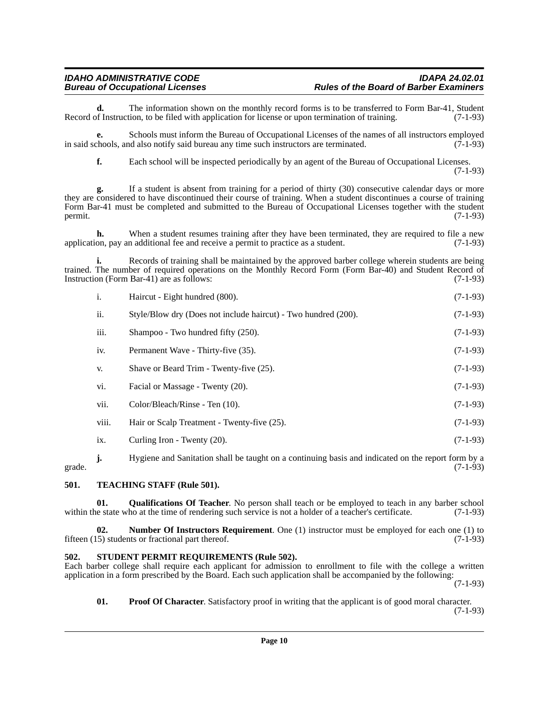### *IDAHO ADMINISTRATIVE CODE IDAPA 24.02.01* **Rules of the Board of Barber Examiners**

**d.** The information shown on the monthly record forms is to be transferred to Form Bar-41, Student of Instruction, to be filed with application for license or upon termination of training. (7-1-93) Record of Instruction, to be filed with application for license or upon termination of training.

**e.** Schools must inform the Bureau of Occupational Licenses of the names of all instructors employed in said schools, and also notify said bureau any time such instructors are terminated.  $(7-1-93)$ 

**f.** Each school will be inspected periodically by an agent of the Bureau of Occupational Licenses. (7-1-93)

**g.** If a student is absent from training for a period of thirty (30) consecutive calendar days or more they are considered to have discontinued their course of training. When a student discontinues a course of training Form Bar-41 must be completed and submitted to the Bureau of Occupational Licenses together with the student permit.  $(7-1-93)$ 

**h.** When a student resumes training after they have been terminated, they are required to file a new on, pay an additional fee and receive a permit to practice as a student. (7-1-93) application, pay an additional fee and receive a permit to practice as a student.

**i.** Records of training shall be maintained by the approved barber college wherein students are being trained. The number of required operations on the Monthly Record Form (Form Bar-40) and Student Record of Instruction (Form Bar-41) are as follows: (7-1-93) Instruction (Form Bar-41) are as follows:

| i.    | Haircut - Eight hundred (800).                                 | $(7-1-93)$ |
|-------|----------------------------------------------------------------|------------|
| ii.   | Style/Blow dry (Does not include haircut) - Two hundred (200). | $(7-1-93)$ |
| iii.  | Shampoo - Two hundred fifty (250).                             | $(7-1-93)$ |
| iv.   | Permanent Wave - Thirty-five (35).                             | $(7-1-93)$ |
| V.    | Shave or Beard Trim - Twenty-five (25).                        | $(7-1-93)$ |
| vi.   | Facial or Massage - Twenty (20).                               | $(7-1-93)$ |
| vii.  | Color/Bleach/Rinse - Ten (10).                                 | $(7-1-93)$ |
| viii. | Hair or Scalp Treatment - Twenty-five (25).                    | $(7-1-93)$ |
| ix.   | Curling Iron - Twenty (20).                                    | $(7-1-93)$ |
|       |                                                                |            |

**j.** Hygiene and Sanitation shall be taught on a continuing basis and indicated on the report form by a  $(7-1-93)$ grade.  $(7-1-93)$ 

#### <span id="page-9-0"></span>**501. TEACHING STAFF (Rule 501).**

**01.** Qualifications Of Teacher. No person shall teach or be employed to teach in any barber school le state who at the time of rendering such service is not a holder of a teacher's certificate. (7-1-93) within the state who at the time of rendering such service is not a holder of a teacher's certificate.

**02. Number Of Instructors Requirement**. One (1) instructor must be employed for each one (1) to fifteen (15) students or fractional part thereof. (7-1-93)

#### <span id="page-9-1"></span>**502. STUDENT PERMIT REQUIREMENTS (Rule 502).**

Each barber college shall require each applicant for admission to enrollment to file with the college a written application in a form prescribed by the Board. Each such application shall be accompanied by the following:

(7-1-93)

**01. Proof Of Character**. Satisfactory proof in writing that the applicant is of good moral character.

(7-1-93)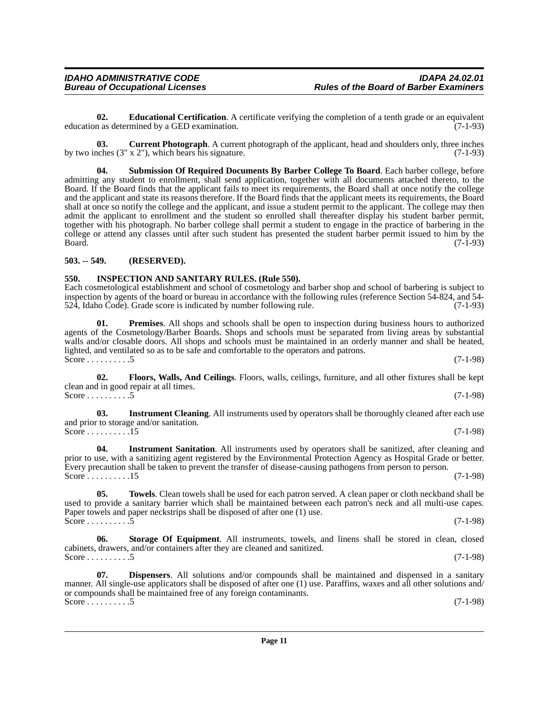education as determined by a GED examination.

admitting any student to enrollment, shall send application, together with all documents attached thereto, to the Board. If the Board finds that the applicant fails to meet its requirements, the Board shall at once notify the college and the applicant and state its reasons therefore. If the Board finds that the applicant meets its requirements, the Board shall at once so notify the college and the applicant, and issue a student permit to the applicant. The college may then admit the applicant to enrollment and the student so enrolled shall thereafter display his student barber permit, together with his photograph. No barber college shall permit a student to engage in the practice of barbering in the college or attend any classes until after such student has presented the student barber permit issued to him by the Board. (7-1-93)

by two inches  $(3'' \times 2'')$ , which bears his signature. (7-1-93)

**02. Educational Certification**. A certificate verifying the completion of a tenth grade or an equivalent n as determined by a GED examination. (7-1-93)

**03. Current Photograph**. A current photograph of the applicant, head and shoulders only, three inches

## <span id="page-10-0"></span>**503. -- 549. (RESERVED).**

### <span id="page-10-1"></span>**550. INSPECTION AND SANITARY RULES. (Rule 550).**

Each cosmetological establishment and school of cosmetology and barber shop and school of barbering is subject to inspection by agents of the board or bureau in accordance with the following rules (reference Section 54-824, and 54-<br>524, Idaho Code). Grade score is indicated by number following rule. (7-1-93) 524, Idaho Čode). Grade score is indicated by number following rule.

**01. Premises**. All shops and schools shall be open to inspection during business hours to authorized agents of the Cosmetology/Barber Boards. Shops and schools must be separated from living areas by substantial walls and/or closable doors. All shops and schools must be maintained in an orderly manner and shall be heated, lighted, and ventilated so as to be safe and comfortable to the operators and patrons. Score . . . . . . . . . 5 (7-1-98)

**02. Floors, Walls, And Ceilings**. Floors, walls, ceilings, furniture, and all other fixtures shall be kept clean and in good repair at all times. Score . . . . . . . . . 5 (7-1-98)

**03.** Instrument Cleaning. All instruments used by operators shall be thoroughly cleaned after each use and prior to storage and/or sanitation. Score . . . . . . . . . . . . 15 (7-1-98)

**04. Instrument Sanitation**. All instruments used by operators shall be sanitized, after cleaning and prior to use, with a sanitizing agent registered by the Environmental Protection Agency as Hospital Grade or better. Every precaution shall be taken to prevent the transfer of disease-causing pathogens from person to person. Score . . . . . . . . . . . 15 (7-1-98)

**05. Towels**. Clean towels shall be used for each patron served. A clean paper or cloth neckband shall be used to provide a sanitary barrier which shall be maintained between each patron's neck and all multi-use capes. Paper towels and paper neckstrips shall be disposed of after one (1) use. Score . . . . . . . . . 5 (7-1-98)

**06. Storage Of Equipment**. All instruments, towels, and linens shall be stored in clean, closed cabinets, drawers, and/or containers after they are cleaned and sanitized. Score . . . . . . . . . 5 (7-1-98)

**07. Dispensers**. All solutions and/or compounds shall be maintained and dispensed in a sanitary manner. All single-use applicators shall be disposed of after one (1) use. Paraffins, waxes and all other solutions and/ or compounds shall be maintained free of any foreign contaminants. Score  $\ldots \ldots \ldots 5$  (7-1-98)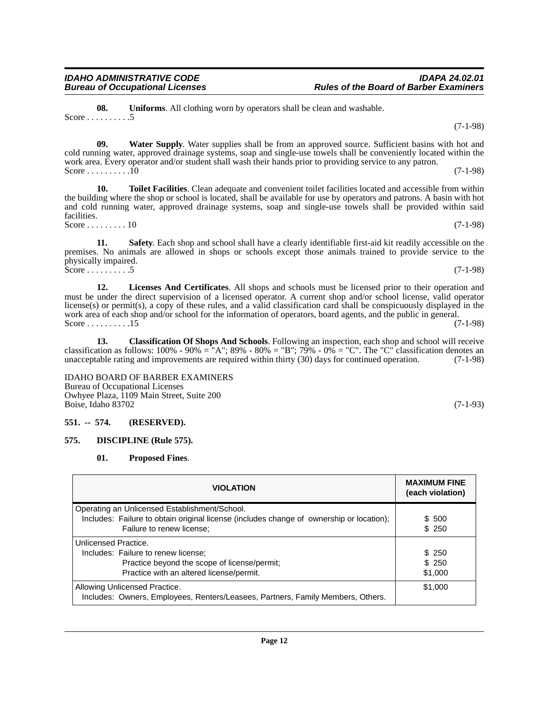**08. Uniforms**. All clothing worn by operators shall be clean and washable. Score  $\dots \dots \dots .5$ 

**09. Water Supply**. Water supplies shall be from an approved source. Sufficient basins with hot and cold running water, approved drainage systems, soap and single-use towels shall be conveniently located within the work area. Every operator and/or student shall wash their hands prior to providing service to any patron. Score . . . . . . . . . .10 (7-1-98)

**10. Toilet Facilities**. Clean adequate and convenient toilet facilities located and accessible from within the building where the shop or school is located, shall be available for use by operators and patrons. A basin with hot and cold running water, approved drainage systems, soap and single-use towels shall be provided within said facilities. Score . . . . . . . . . 10 (7-1-98)

**11. Safety**. Each shop and school shall have a clearly identifiable first-aid kit readily accessible on the premises. No animals are allowed in shops or schools except those animals trained to provide service to the physically impaired. Score . . . . . . . . . . 5 (7-1-98)

**12. Licenses And Certificates**. All shops and schools must be licensed prior to their operation and must be under the direct supervision of a licensed operator. A current shop and/or school license, valid operator license(s) or permit(s), a copy of these rules, and a valid classification card shall be conspicuously displayed in the work area of each shop and/or school for the information of operators, board agents, and the public in general. Score  $\dots \dots \dots 15$ 

**13. Classification Of Shops And Schools**. Following an inspection, each shop and school will receive classification as follows:  $100\%$  -  $90\%$  = "A";  $89\%$  -  $80\%$  = "B";  $79\%$  -  $0\%$  = "C". The "C" classification denotes an unacceptable rating and improvements are required within thirty (30) days for continued operation. (7-1-98)

IDAHO BOARD OF BARBER EXAMINERS Bureau of Occupational Licenses Owhyee Plaza, 1109 Main Street, Suite 200 Boise, Idaho 83702 (7-1-93)

### <span id="page-11-0"></span>**551. -- 574. (RESERVED).**

### <span id="page-11-1"></span>**575. DISCIPLINE (Rule 575).**

**01. Proposed Fines**.

| <b>VIOLATION</b>                                                                                                 | <b>MAXIMUM FINE</b><br>(each violation) |
|------------------------------------------------------------------------------------------------------------------|-----------------------------------------|
| Operating an Unlicensed Establishment/School.                                                                    |                                         |
| Includes: Failure to obtain original license (includes change of ownership or location);                         | \$ 500                                  |
| Failure to renew license;                                                                                        | \$250                                   |
| Unlicensed Practice.                                                                                             |                                         |
| Includes: Failure to renew license;                                                                              | \$ 250                                  |
| Practice beyond the scope of license/permit;                                                                     | \$250                                   |
| Practice with an altered license/permit.                                                                         | \$1,000                                 |
| Allowing Unlicensed Practice.<br>Includes: Owners, Employees, Renters/Leasees, Partners, Family Members, Others. | \$1,000                                 |

(7-1-98)